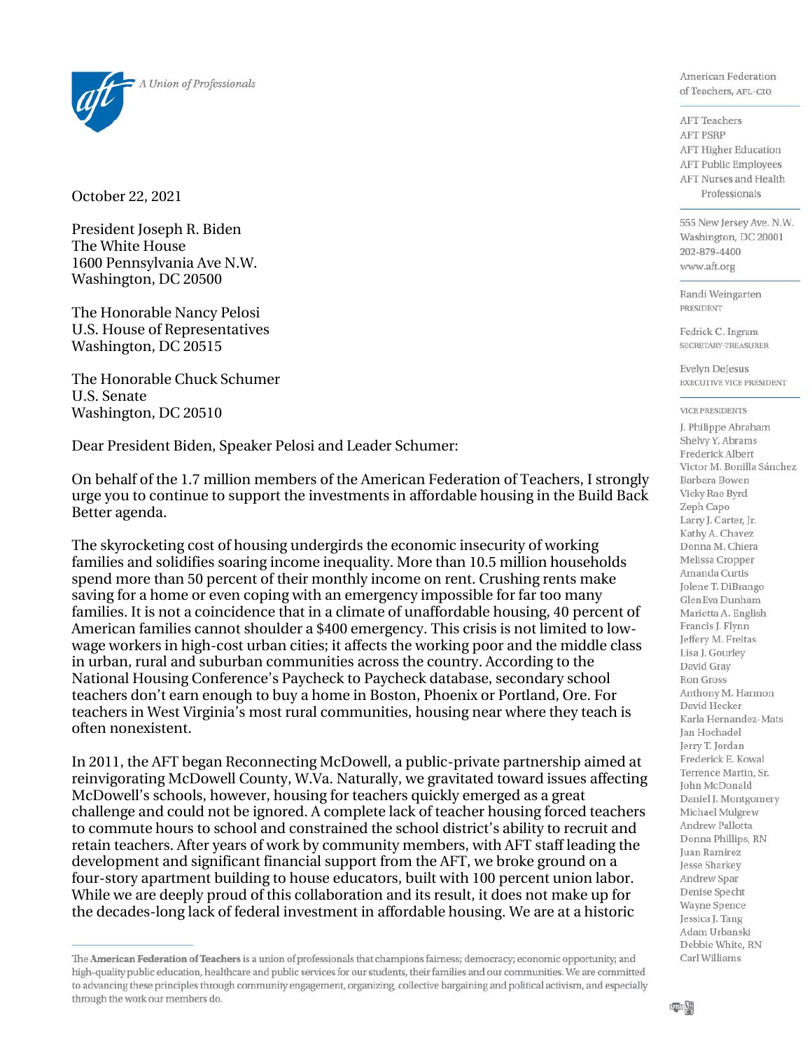

October 22, 2021

President Joseph R. Biden The White House 1600 Pennsylvania Ave N.W. Washington, DC 20500

The Honorable Nancy Pelosi U.S. House of Representatives Washington, DC 20515

The Honorable Chuck Schumer U.S. Senate Washington, DC 20510

Dear President Biden, Speaker Pelosi and Leader Schumer:

On behalf of the 1.7 million members of the American Federation of Teachers, I strongly urge you to continue to support the investments in affordable housing in the Build Back Better agenda.

The skyrocketing cost of housing undergirds the economic insecurity of working families and solidifies soaring income inequality. More than 10.5 million households spend more than 50 percent of their monthly income on rent. Crushing rents make saving for a home or even coping with an emergency impossible for far too many families. It is not a coincidence that in a climate of unaffordable housing, 40 percent of American families cannot shoulder a \$400 emergency. This crisis is not limited to lowwage workers in high-cost urban cities; it affects the working poor and the middle class in urban, rural and suburban communities across the country. According to the National Housing Conference's Paycheck to Paycheck database, secondary school teachers don't earn enough to buy a home in Boston, Phoenix or Portland, Ore. For teachers in West Virginia's most rural communities, housing near where they teach is often nonexistent.

In 2011, the AFT began Reconnecting McDowell, a public-private partnership aimed at reinvigorating McDowell County, W.Va. Naturally, we gravitated toward issues affecting McDowell's schools, however, housing for teachers quickly emerged as a great challenge and could not be ignored. A complete lack of teacher housing forced teachers to commute hours to school and constrained the school district's ability to recruit and retain teachers. After years of work by community members, with AFT staff leading the development and significant financial support from the AFT, we broke ground on a four-story apartment building to house educators, built with 100 percent union labor. While we are deeply proud of this collaboration and its result, it does not make up for the decades-long lack of federal investment in affordable housing. We are at a historic

American Federation of Teachers, AFL-CIO

**AFT** Teachers **AFT PSRP** AFT Higher Education **AFT Public Employees** AFT Nurses and Health Professionals

555 New Jersey Ave. N.W. Washington, DC 20001 202-879-4400 www.aft.org

Randi Weingarten PRESIDENT

Fedrick C. Ingram SECRETARY-TREASURER

**Evelyn DeJesus EXECUTIVE VICE PRESIDENT** 

## **VICE PRESIDENTS**

J. Philippe Abraham Shelvy Y. Abrams Frederick Albert Victor M. Bonilla Sánchez Barbara Bowen Vicky Rae Byrd Zeph Capo Larry J. Carter, Jr. Kathy A. Chavez Donna M. Chiera Melissa Cropper Amanda Curtis Jolene T. DiBrango GlenEva Dunham Marietta A. English Francis J. Flynn Jeffery M. Freitas Lisa J. Gourley David Gray Ron Gross Anthony M. Harmon David Hecker Karla Hernandez-Mats Jan Hochadel Jerry T. Jordan Frederick E. Kowal Terrence Martin, Sr. John McDonald Daniel J. Montgomery Michael Mulgrew Andrew Pallotta Donna Phillips, RN Juan Ramirez Jesse Sharkey Andrew Spar Denise Specht Wayne Spence Jessica J. Tang Adam Urbanski Debbie White, RN Carl Williams

The American Federation of Teachers is a union of professionals that champions fairness; democracy; economic opportunity; and high-quality public education, healthcare and public services for our students, their families and our communities. We are committed to advancing these principles through community engagement, organizing, collective bargaining and political activism, and especially through the work our members do.